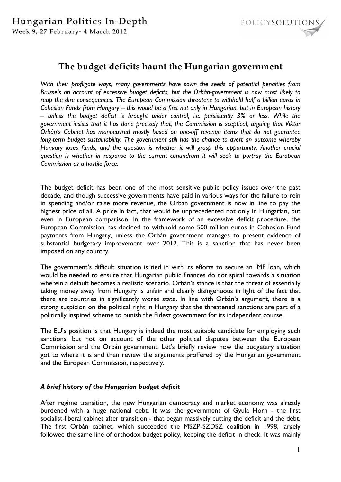

## **The budget deficits haunt the Hungarian government**

*With their profligate ways, many governments have sown the seeds of potential penalties from Brussels on account of excessive budget deficits, but the Orbán-government is now most likely to reap the dire consequences. The European Commission threatens to withhold half a billion euros in Cohesion Funds from Hungary – this would be a first not only in Hungarian, but in European history – unless the budget deficit is brought under control, i.e. persistently 3% or less. While the government insists that it has done precisely that, the Commission is sceptical, arguing that Viktor Orbán's Cabinet has manoeuvred mostly based on one-off revenue items that do not guarantee long-term budget sustainability. The government still has the chance to avert an outcome whereby Hungary loses funds, and the question is whether it will grasp this opportunity. Another crucial question is whether in response to the current conundrum it will seek to portray the European Commission as a hostile force.* 

The budget deficit has been one of the most sensitive public policy issues over the past decade, and though successive governments have paid in various ways for the failure to rein in spending and/or raise more revenue, the Orbán government is now in line to pay the highest price of all. A price in fact, that would be unprecedented not only in Hungarian, but even in European comparison. In the framework of an excessive deficit procedure, the European Commission has decided to withhold some 500 million euros in Cohesion Fund payments from Hungary, unless the Orbán government manages to present evidence of substantial budgetary improvement over 2012. This is a sanction that has never been imposed on any country.

The government's difficult situation is tied in with its efforts to secure an IMF loan, which would be needed to ensure that Hungarian public finances do not spiral towards a situation wherein a default becomes a realistic scenario. Orbán's stance is that the threat of essentially taking money away from Hungary is unfair and clearly disingenuous in light of the fact that there are countries in significantly worse state. In line with Orbán's argument, there is a strong suspicion on the political right in Hungary that the threatened sanctions are part of a politically inspired scheme to punish the Fidesz government for its independent course.

The EU's position is that Hungary is indeed the most suitable candidate for employing such sanctions, but not on account of the other political disputes between the European Commission and the Orbán government. Let's briefly review how the budgetary situation got to where it is and then review the arguments proffered by the Hungarian government and the European Commission, respectively.

## *A brief history of the Hungarian budget deficit*

After regime transition, the new Hungarian democracy and market economy was already burdened with a huge national debt. It was the government of Gyula Horn - the first socialist-liberal cabinet after transition - that began massively cutting the deficit and the debt. The first Orbán cabinet, which succeeded the MSZP-SZDSZ coalition in 1998, largely followed the same line of orthodox budget policy, keeping the deficit in check. It was mainly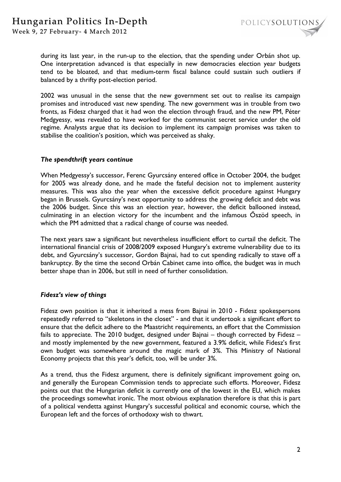

during its last year, in the run-up to the election, that the spending under Orbán shot up. One interpretation advanced is that especially in new democracies election year budgets tend to be bloated, and that medium-term fiscal balance could sustain such outliers if balanced by a thrifty post-election period.

2002 was unusual in the sense that the new government set out to realise its campaign promises and introduced vast new spending. The new government was in trouble from two fronts, as Fidesz charged that it had won the election through fraud, and the new PM, Péter Medgyessy, was revealed to have worked for the communist secret service under the old regime. Analysts argue that its decision to implement its campaign promises was taken to stabilise the coalition's position, which was perceived as shaky.

#### *The spendthrift years continue*

When Medgyessy's successor, Ferenc Gyurcsány entered office in October 2004, the budget for 2005 was already done, and he made the fateful decision not to implement austerity measures. This was also the year when the excessive deficit procedure against Hungary began in Brussels. Gyurcsány's next opportunity to address the growing deficit and debt was the 2006 budget. Since this was an election year, however, the deficit ballooned instead, culminating in an election victory for the incumbent and the infamous Őszöd speech, in which the PM admitted that a radical change of course was needed.

The next years saw a significant but nevertheless insufficient effort to curtail the deficit. The international financial crisis of 2008/2009 exposed Hungary's extreme vulnerability due to its debt, and Gyurcsány's successor, Gordon Bajnai, had to cut spending radically to stave off a bankruptcy. By the time the second Orbán Cabinet came into office, the budget was in much better shape than in 2006, but still in need of further consolidation.

#### *Fidesz's view of things*

Fidesz own position is that it inherited a mess from Bajnai in 2010 - Fidesz spokespersons repeatedly referred to "skeletons in the closet" - and that it undertook a significant effort to ensure that the deficit adhere to the Maastricht requirements, an effort that the Commission fails to appreciate. The 2010 budget, designed under Bajnai – though corrected by Fidesz – and mostly implemented by the new government, featured a 3.9% deficit, while Fidesz's first own budget was somewhere around the magic mark of 3%. This Ministry of National Economy projects that this year's deficit, too, will be under 3%.

As a trend, thus the Fidesz argument, there is definitely significant improvement going on, and generally the European Commission tends to appreciate such efforts. Moreover, Fidesz points out that the Hungarian deficit is currently one of the lowest in the EU, which makes the proceedings somewhat ironic. The most obvious explanation therefore is that this is part of a political vendetta against Hungary's successful political and economic course, which the European left and the forces of orthodoxy wish to thwart.